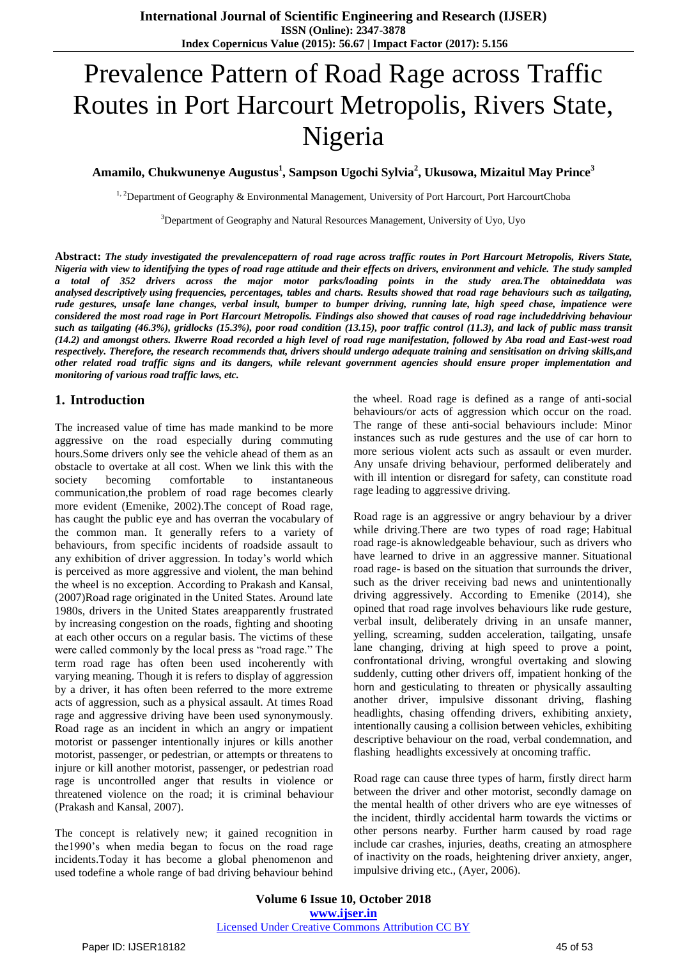# Prevalence Pattern of Road Rage across Traffic Routes in Port Harcourt Metropolis, Rivers State, Nigeria

**Amamilo, Chukwunenye Augustus<sup>1</sup> , Sampson Ugochi Sylvia<sup>2</sup> , Ukusowa, Mizaitul May Prince<sup>3</sup>**

<sup>1, 2</sup>Department of Geography & Environmental Management, University of Port Harcourt, Port HarcourtChoba

<sup>3</sup>Department of Geography and Natural Resources Management, University of Uyo, Uyo

**Abstract:** *The study investigated the prevalencepattern of road rage across traffic routes in Port Harcourt Metropolis, Rivers State, Nigeria with view to identifying the types of road rage attitude and their effects on drivers, environment and vehicle. The study sampled a total of 352 drivers across the major motor parks/loading points in the study area.The obtaineddata was analysed descriptively using frequencies, percentages, tables and charts. Results showed that road rage behaviours such as tailgating, rude gestures, unsafe lane changes, verbal insult, bumper to bumper driving, running late, high speed chase, impatience were considered the most road rage in Port Harcourt Metropolis. Findings also showed that causes of road rage includeddriving behaviour such as tailgating (46.3%), gridlocks (15.3%), poor road condition (13.15), poor traffic control (11.3), and lack of public mass transit (14.2) and amongst others. Ikwerre Road recorded a high level of road rage manifestation, followed by Aba road and East-west road respectively. Therefore, the research recommends that, drivers should undergo adequate training and sensitisation on driving skills,and other related road traffic signs and its dangers, while relevant government agencies should ensure proper implementation and monitoring of various road traffic laws, etc.* 

## **1. Introduction**

The increased value of time has made mankind to be more aggressive on the road especially during commuting hours.Some drivers only see the vehicle ahead of them as an obstacle to overtake at all cost. When we link this with the society becoming comfortable to instantaneous communication,the problem of road rage becomes clearly more evident (Emenike, 2002).The concept of Road rage, has caught the public eye and has overran the vocabulary of the common man. It generally refers to a variety of behaviours, from specific incidents of roadside assault to any exhibition of driver aggression. In today's world which is perceived as more aggressive and violent, the man behind the wheel is no exception. According to Prakash and Kansal, (2007)Road rage originated in the United States. Around late 1980s, drivers in the United States areapparently frustrated by increasing congestion on the roads, fighting and shooting at each other occurs on a regular basis. The victims of these were called commonly by the local press as "road rage." The term road rage has often been used incoherently with varying meaning. Though it is refers to display of aggression by a driver, it has often been referred to the more extreme acts of aggression, such as a physical assault. At times Road rage and aggressive driving have been used synonymously. Road rage as an incident in which an angry or impatient motorist or passenger intentionally injures or kills another motorist, passenger, or pedestrian, or attempts or threatens to injure or kill another motorist, passenger, or pedestrian road rage is uncontrolled anger that results in violence or threatened violence on the road; it is criminal behaviour (Prakash and Kansal, 2007).

The concept is relatively new; it gained recognition in the1990's when media began to focus on the road rage incidents.Today it has become a global phenomenon and used todefine a whole range of bad driving behaviour behind the wheel. Road rage is defined as a range of anti-social behaviours/or acts of aggression which occur on the road. The range of these anti-social behaviours include: Minor instances such as rude gestures and the use of car horn to more serious violent acts such as assault or even murder. Any unsafe driving behaviour, performed deliberately and with ill intention or disregard for safety, can constitute road rage leading to aggressive driving.

Road rage is an aggressive or angry behaviour by a driver while driving.There are two types of road rage; Habitual road rage-is aknowledgeable behaviour, such as drivers who have learned to drive in an aggressive manner. Situational road rage- is based on the situation that surrounds the driver, such as the driver receiving bad news and unintentionally driving aggressively. According to Emenike (2014), she opined that road rage involves behaviours like rude gesture, verbal insult, deliberately driving in an unsafe manner, yelling, screaming, sudden acceleration, tailgating, unsafe lane changing, driving at high speed to prove a point, confrontational driving, wrongful overtaking and slowing suddenly, cutting other drivers off, impatient honking of the horn and gesticulating to threaten or physically assaulting another driver, impulsive dissonant driving, flashing headlights, chasing offending drivers, exhibiting anxiety, intentionally causing a collision between vehicles, exhibiting descriptive behaviour on the road, verbal condemnation, and flashing headlights excessively at oncoming traffic.

Road rage can cause three types of harm, firstly direct harm between the driver and other motorist, secondly damage on the mental health of other drivers who are eye witnesses of the incident, thirdly accidental harm towards the victims or other persons nearby. Further harm caused by road rage include car crashes, injuries, deaths, creating an atmosphere of inactivity on the roads, heightening driver anxiety, anger, impulsive driving etc., (Ayer, 2006).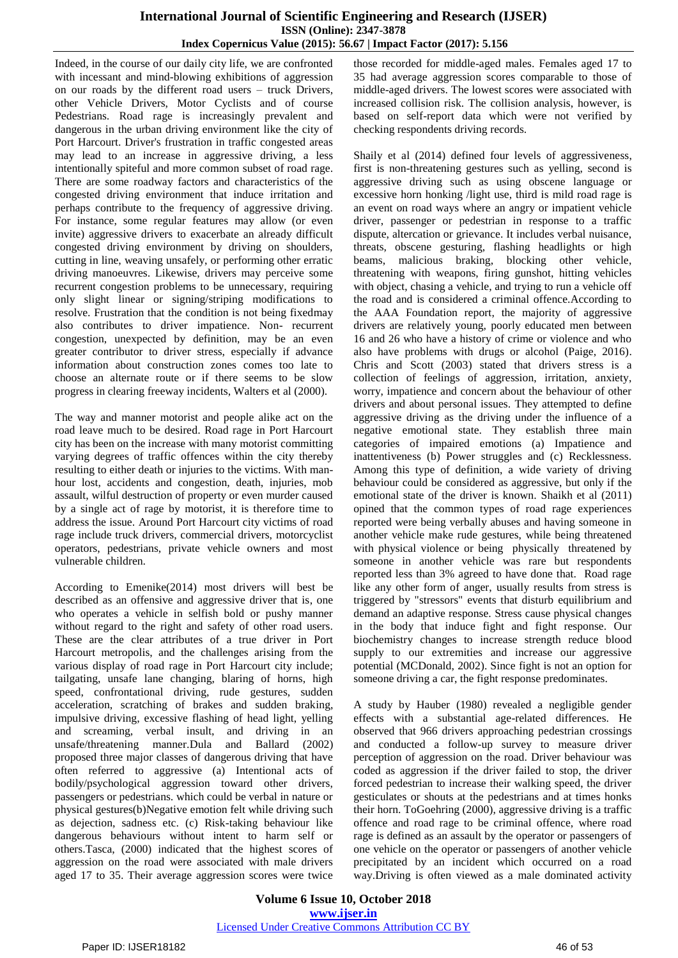## **International Journal of Scientific Engineering and Research (IJSER) ISSN (Online): 2347-3878 Index Copernicus Value (2015): 56.67 | Impact Factor (2017): 5.156**

Indeed, in the course of our daily city life, we are confronted with incessant and mind-blowing exhibitions of aggression on our roads by the different road users – truck Drivers, other Vehicle Drivers, Motor Cyclists and of course Pedestrians. Road rage is increasingly prevalent and dangerous in the urban driving environment like the city of Port Harcourt. Driver's frustration in traffic congested areas may lead to an increase in aggressive driving, a less intentionally spiteful and more common subset of road rage. There are some roadway factors and characteristics of the congested driving environment that induce irritation and perhaps contribute to the frequency of aggressive driving. For instance, some regular features may allow (or even invite) aggressive drivers to exacerbate an already difficult congested driving environment by driving on shoulders, cutting in line, weaving unsafely, or performing other erratic driving manoeuvres. Likewise, drivers may perceive some recurrent congestion problems to be unnecessary, requiring only slight linear or signing/striping modifications to resolve. Frustration that the condition is not being fixedmay also contributes to driver impatience. Non- recurrent congestion, unexpected by definition, may be an even greater contributor to driver stress, especially if advance information about construction zones comes too late to choose an alternate route or if there seems to be slow progress in clearing freeway incidents, Walters et al (2000).

The way and manner motorist and people alike act on the road leave much to be desired. Road rage in Port Harcourt city has been on the increase with many motorist committing varying degrees of traffic offences within the city thereby resulting to either death or injuries to the victims. With manhour lost, accidents and congestion, death, injuries, mob assault, wilful destruction of property or even murder caused by a single act of rage by motorist, it is therefore time to address the issue. Around Port Harcourt city victims of road rage include truck drivers, commercial drivers, motorcyclist operators, pedestrians, private vehicle owners and most vulnerable children.

According to Emenike(2014) most drivers will best be described as an offensive and aggressive driver that is, one who operates a vehicle in selfish bold or pushy manner without regard to the right and safety of other road users. These are the clear attributes of a true driver in Port Harcourt metropolis, and the challenges arising from the various display of road rage in Port Harcourt city include; tailgating, unsafe lane changing, blaring of horns, high speed, confrontational driving, rude gestures, sudden acceleration, scratching of brakes and sudden braking, impulsive driving, excessive flashing of head light, yelling and screaming, verbal insult, and driving in an unsafe/threatening manner.Dula and Ballard (2002) proposed three major classes of dangerous driving that have often referred to aggressive (a) Intentional acts of bodily/psychological aggression toward other drivers, passengers or pedestrians. which could be verbal in nature or physical gestures(b)Negative emotion felt while driving such as dejection, sadness etc. (c) Risk-taking behaviour like dangerous behaviours without intent to harm self or others.Tasca, (2000) indicated that the highest scores of aggression on the road were associated with male drivers aged 17 to 35. Their average aggression scores were twice those recorded for middle-aged males. Females aged 17 to 35 had average aggression scores comparable to those of middle-aged drivers. The lowest scores were associated with increased collision risk. The collision analysis, however, is based on self-report data which were not verified by checking respondents driving records.

Shaily et al (2014) defined four levels of aggressiveness, first is non-threatening gestures such as yelling, second is aggressive driving such as using obscene language or excessive horn honking /light use, third is mild road rage is an event on road ways where an angry or impatient vehicle driver, passenger or pedestrian in response to a traffic dispute, altercation or grievance. It includes verbal nuisance, threats, obscene gesturing, flashing headlights or high beams, malicious braking, blocking other vehicle, threatening with weapons, firing gunshot, hitting vehicles with object, chasing a vehicle, and trying to run a vehicle off the road and is considered a criminal offence.According to the AAA Foundation report, the majority of aggressive drivers are relatively young, poorly educated men between 16 and 26 who have a history of crime or violence and who also have problems with drugs or alcohol (Paige, 2016). Chris and Scott (2003) stated that drivers stress is a collection of feelings of aggression, irritation, anxiety, worry, impatience and concern about the behaviour of other drivers and about personal issues. They attempted to define aggressive driving as the driving under the influence of a negative emotional state. They establish three main categories of impaired emotions (a) Impatience and inattentiveness (b) Power struggles and (c) Recklessness. Among this type of definition, a wide variety of driving behaviour could be considered as aggressive, but only if the emotional state of the driver is known. Shaikh et al (2011) opined that the common types of road rage experiences reported were being verbally abuses and having someone in another vehicle make rude gestures, while being threatened with physical violence or being physically threatened by someone in another vehicle was rare but respondents reported less than 3% agreed to have done that. Road rage like any other form of anger, usually results from stress is triggered by "stressors" events that disturb equilibrium and demand an adaptive response. Stress cause physical changes in the body that induce fight and fight response. Our biochemistry changes to increase strength reduce blood supply to our extremities and increase our aggressive potential (MCDonald, 2002). Since fight is not an option for someone driving a car, the fight response predominates.

A study by Hauber (1980) revealed a negligible gender effects with a substantial age-related differences. He observed that 966 drivers approaching pedestrian crossings and conducted a follow-up survey to measure driver perception of aggression on the road. Driver behaviour was coded as aggression if the driver failed to stop, the driver forced pedestrian to increase their walking speed, the driver gesticulates or shouts at the pedestrians and at times honks their horn. ToGoehring (2000), aggressive driving is a traffic offence and road rage to be criminal offence, where road rage is defined as an assault by the operator or passengers of one vehicle on the operator or passengers of another vehicle precipitated by an incident which occurred on a road way.Driving is often viewed as a male dominated activity

**Volume 6 Issue 10, October 2018 [www.ijser.in](file:///G:\www.ijser.in\Documents\www.ijser.in)** [Licensed Under Creative Commons Attribution CC BY](http://creativecommons.org/licenses/by/4.0/)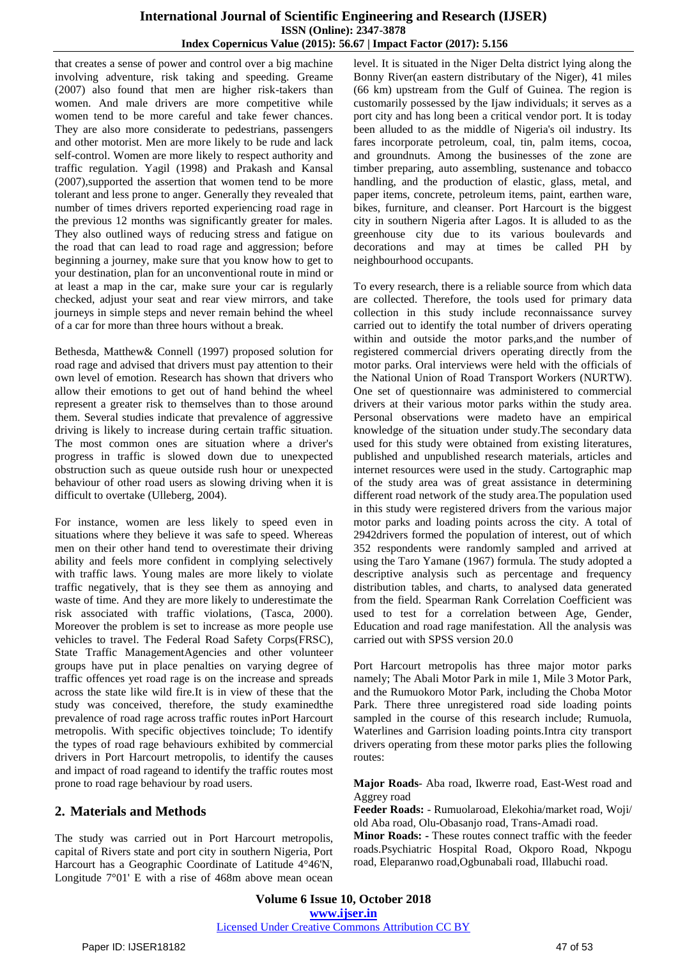## **International Journal of Scientific Engineering and Research (IJSER) ISSN (Online): 2347-3878 Index Copernicus Value (2015): 56.67 | Impact Factor (2017): 5.156**

that creates a sense of power and control over a big machine involving adventure, risk taking and speeding. Greame (2007) also found that men are higher risk-takers than women. And male drivers are more competitive while women tend to be more careful and take fewer chances. They are also more considerate to pedestrians, passengers and other motorist. Men are more likely to be rude and lack self-control. Women are more likely to respect authority and traffic regulation. Yagil (1998) and Prakash and Kansal (2007),supported the assertion that women tend to be more tolerant and less prone to anger. Generally they revealed that number of times drivers reported experiencing road rage in the previous 12 months was significantly greater for males. They also outlined ways of reducing stress and fatigue on the road that can lead to road rage and aggression; before beginning a journey, make sure that you know how to get to your destination, plan for an unconventional route in mind or at least a map in the car, make sure your car is regularly checked, adjust your seat and rear view mirrors, and take journeys in simple steps and never remain behind the wheel of a car for more than three hours without a break.

Bethesda, Matthew& Connell (1997) proposed solution for road rage and advised that drivers must pay attention to their own level of emotion. Research has shown that drivers who allow their emotions to get out of hand behind the wheel represent a greater risk to themselves than to those around them. Several studies indicate that prevalence of aggressive driving is likely to increase during certain traffic situation. The most common ones are situation where a driver's progress in traffic is slowed down due to unexpected obstruction such as queue outside rush hour or unexpected behaviour of other road users as slowing driving when it is difficult to overtake (Ulleberg, 2004).

For instance, women are less likely to speed even in situations where they believe it was safe to speed. Whereas men on their other hand tend to overestimate their driving ability and feels more confident in complying selectively with traffic laws. Young males are more likely to violate traffic negatively, that is they see them as annoying and waste of time. And they are more likely to underestimate the risk associated with traffic violations, (Tasca, 2000). Moreover the problem is set to increase as more people use vehicles to travel. The Federal Road Safety Corps(FRSC), State Traffic ManagementAgencies and other volunteer groups have put in place penalties on varying degree of traffic offences yet road rage is on the increase and spreads across the state like wild fire.It is in view of these that the study was conceived, therefore, the study examinedthe prevalence of road rage across traffic routes inPort Harcourt metropolis. With specific objectives toinclude; To identify the types of road rage behaviours exhibited by commercial drivers in Port Harcourt metropolis, to identify the causes and impact of road rageand to identify the traffic routes most prone to road rage behaviour by road users.

## **2. Materials and Methods**

The study was carried out in Port Harcourt metropolis, capital of Rivers state and port city in southern Nigeria, Port Harcourt has a Geographic Coordinate of Latitude 4°46'N, Longitude 7°01' E with a rise of 468m above mean ocean

level. It is situated in the Niger Delta district lying along the Bonny River(an eastern distributary of the Niger), 41 miles (66 km) upstream from the Gulf of Guinea. The region is customarily possessed by the Ijaw individuals; it serves as a port city and has long been a critical vendor port. It is today been alluded to as the middle of Nigeria's oil industry. Its fares incorporate petroleum, coal, tin, palm items, cocoa, and groundnuts. Among the businesses of the zone are timber preparing, auto assembling, sustenance and tobacco handling, and the production of elastic, glass, metal, and paper items, concrete, petroleum items, paint, earthen ware, bikes, furniture, and cleanser. Port Harcourt is the biggest city in southern Nigeria after Lagos. It is alluded to as the greenhouse city due to its various boulevards and decorations and may at times be called PH by neighbourhood occupants.

To every research, there is a reliable source from which data are collected. Therefore, the tools used for primary data collection in this study include reconnaissance survey carried out to identify the total number of drivers operating within and outside the motor parks,and the number of registered commercial drivers operating directly from the motor parks. Oral interviews were held with the officials of the National Union of Road Transport Workers (NURTW). One set of questionnaire was administered to commercial drivers at their various motor parks within the study area. Personal observations were madeto have an empirical knowledge of the situation under study.The secondary data used for this study were obtained from existing literatures, published and unpublished research materials, articles and internet resources were used in the study. Cartographic map of the study area was of great assistance in determining different road network of the study area.The population used in this study were registered drivers from the various major motor parks and loading points across the city. A total of 2942drivers formed the population of interest, out of which 352 respondents were randomly sampled and arrived at using the Taro Yamane (1967) formula. The study adopted a descriptive analysis such as percentage and frequency distribution tables, and charts, to analysed data generated from the field. Spearman Rank Correlation Coefficient was used to test for a correlation between Age, Gender, Education and road rage manifestation. All the analysis was carried out with SPSS version 20.0

Port Harcourt metropolis has three major motor parks namely; The Abali Motor Park in mile 1, Mile 3 Motor Park, and the Rumuokoro Motor Park, including the Choba Motor Park. There three unregistered road side loading points sampled in the course of this research include; Rumuola, Waterlines and Garrision loading points.Intra city transport drivers operating from these motor parks plies the following routes:

**Major Roads**- Aba road, Ikwerre road, East-West road and Aggrey road

**Feeder Roads:** - Rumuolaroad, Elekohia/market road, Woji/ old Aba road, Olu-Obasanjo road, Trans-Amadi road.

**Minor Roads: -** These routes connect traffic with the feeder roads.Psychiatric Hospital Road, Okporo Road, Nkpogu road, Eleparanwo road,Ogbunabali road, Illabuchi road.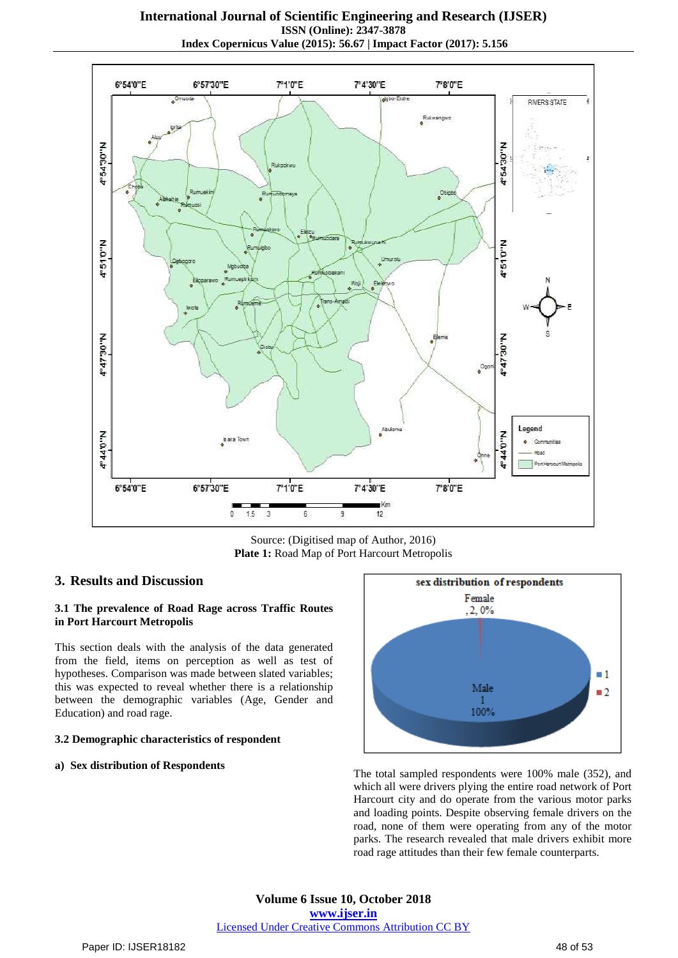**International Journal of Scientific Engineering and Research (IJSER) ISSN (Online): 2347-3878 Index Copernicus Value (2015): 56.67 | Impact Factor (2017): 5.156**



Source: (Digitised map of Author, 2016) **Plate 1:** Road Map of Port Harcourt Metropolis

### **3. Results and Discussion**

#### **3.1 The prevalence of Road Rage across Traffic Routes in Port Harcourt Metropolis**

This section deals with the analysis of the data generated from the field, items on perception as well as test of hypotheses. Comparison was made between slated variables; this was expected to reveal whether there is a relationship between the demographic variables (Age, Gender and Education) and road rage.

#### **3.2 Demographic characteristics of respondent**

#### **a) Sex distribution of Respondents**



The total sampled respondents were 100% male (352), and which all were drivers plying the entire road network of Port Harcourt city and do operate from the various motor parks and loading points. Despite observing female drivers on the road, none of them were operating from any of the motor parks. The research revealed that male drivers exhibit more road rage attitudes than their few female counterparts.

**Volume 6 Issue 10, October 2018 [www.ijser.in](file:///G:\www.ijser.in\Documents\www.ijser.in)** [Licensed Under Creative Commons Attribution CC BY](http://creativecommons.org/licenses/by/4.0/)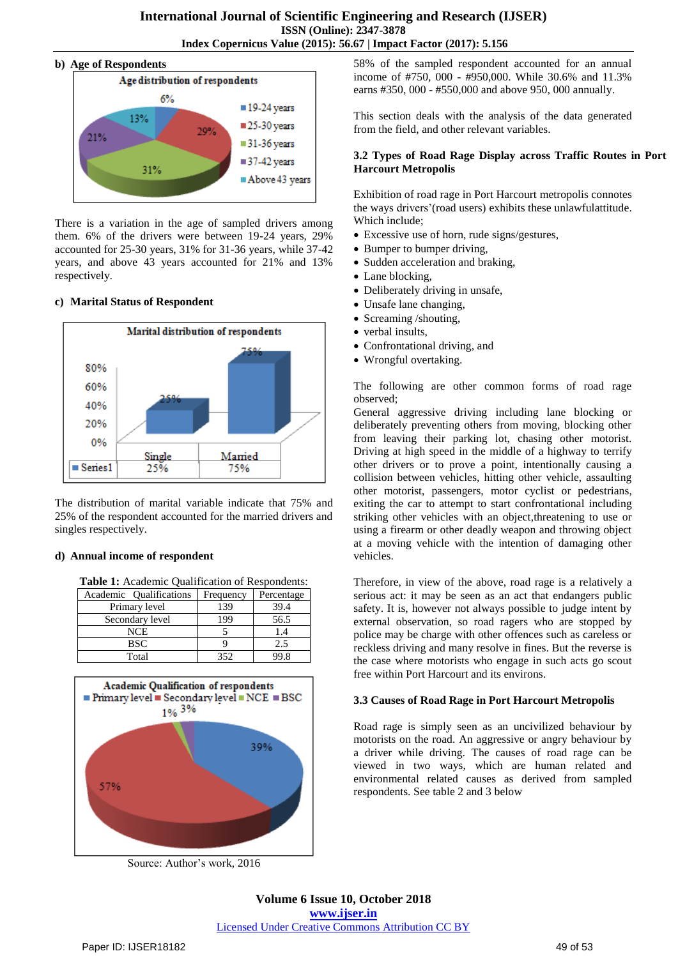#### **b) Age of Respondents**



There is a variation in the age of sampled drivers among them. 6% of the drivers were between 19-24 years, 29% accounted for 25-30 years, 31% for 31-36 years, while 37-42 years, and above 43 years accounted for 21% and 13% respectively.

## **c) Marital Status of Respondent**



The distribution of marital variable indicate that 75% and 25% of the respondent accounted for the married drivers and singles respectively.

## **d) Annual income of respondent**

**Table 1:** Academic Qualification of Respondents:

| Academic Oualifications | Frequency | Percentage |
|-------------------------|-----------|------------|
| Primary level           | 139       | 39.4       |
| Secondary level         | 199       | 56.5       |
| NCE                     |           | 1.4        |
| BSC                     |           | 2.5        |
| Total                   | 352       | 99 R       |



Source: Author's work, 2016

58% of the sampled respondent accounted for an annual income of #750, 000 - #950,000. While 30.6% and 11.3% earns #350, 000 - #550,000 and above 950, 000 annually.

This section deals with the analysis of the data generated from the field, and other relevant variables.

#### **3.2 Types of Road Rage Display across Traffic Routes in Port Harcourt Metropolis**

Exhibition of road rage in Port Harcourt metropolis connotes the ways drivers'(road users) exhibits these unlawfulattitude. Which include;

- Excessive use of horn, rude signs/gestures,
- Bumper to bumper driving,
- Sudden acceleration and braking,
- Lane blocking,
- Deliberately driving in unsafe,
- Unsafe lane changing,
- Screaming /shouting,
- verbal insults,
- Confrontational driving, and
- Wrongful overtaking.

The following are other common forms of road rage observed;

General aggressive driving including lane blocking or deliberately preventing others from moving, blocking other from leaving their parking lot, chasing other motorist. Driving at high speed in the middle of a highway to terrify other drivers or to prove a point, intentionally causing a collision between vehicles, hitting other vehicle, assaulting other motorist, passengers, motor cyclist or pedestrians, exiting the car to attempt to start confrontational including striking other vehicles with an object,threatening to use or using a firearm or other deadly weapon and throwing object at a moving vehicle with the intention of damaging other vehicles.

Therefore, in view of the above, road rage is a relatively a serious act: it may be seen as an act that endangers public safety. It is, however not always possible to judge intent by external observation, so road ragers who are stopped by police may be charge with other offences such as careless or reckless driving and many resolve in fines. But the reverse is the case where motorists who engage in such acts go scout free within Port Harcourt and its environs.

#### **3.3 Causes of Road Rage in Port Harcourt Metropolis**

Road rage is simply seen as an uncivilized behaviour by motorists on the road. An aggressive or angry behaviour by a driver while driving. The causes of road rage can be viewed in two ways, which are human related and environmental related causes as derived from sampled respondents. See table 2 and 3 below

## **Volume 6 Issue 10, October 2018 [www.ijser.in](file:///G:\www.ijser.in\Documents\www.ijser.in)** [Licensed Under Creative Commons Attribution CC BY](http://creativecommons.org/licenses/by/4.0/)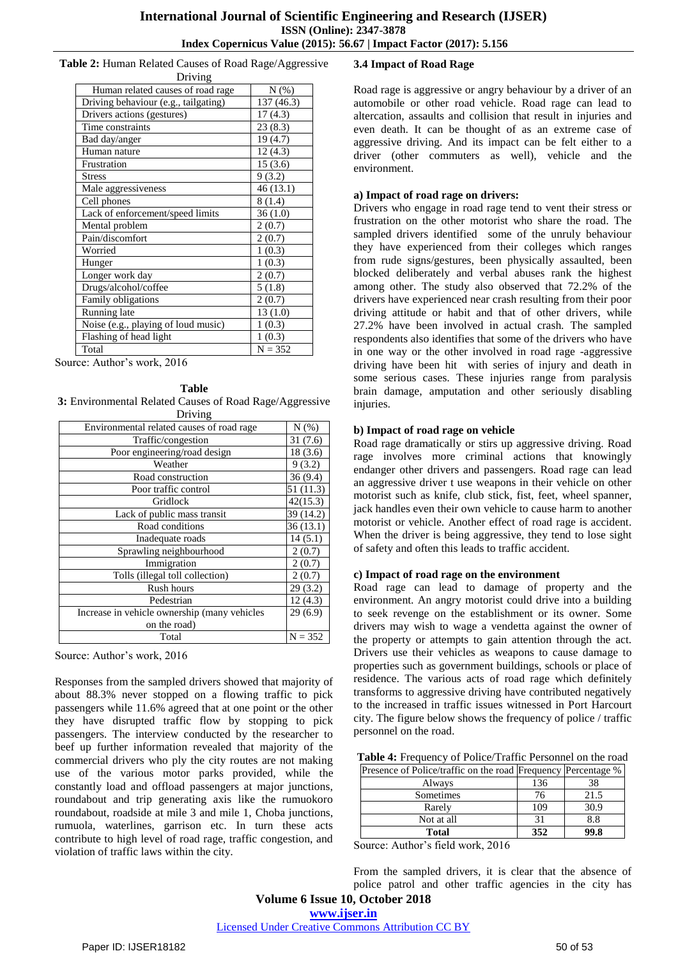**Table 2:** Human Related Causes of Road Rage/Aggressive Driving

| <b>DITAIRS</b>                       |            |  |  |  |
|--------------------------------------|------------|--|--|--|
| Human related causes of road rage    | $N(\%)$    |  |  |  |
| Driving behaviour (e.g., tailgating) | 137 (46.3) |  |  |  |
| Drivers actions (gestures)           | 17(4.3)    |  |  |  |
| Time constraints                     | 23(8.3)    |  |  |  |
| Bad day/anger                        | 19(4.7)    |  |  |  |
| Human nature                         | 12(4.3)    |  |  |  |
| Frustration                          | 15(3.6)    |  |  |  |
| <b>Stress</b>                        | 9(3.2)     |  |  |  |
| Male aggressiveness                  | 46(13.1)   |  |  |  |
| Cell phones                          | 8(1.4)     |  |  |  |
| Lack of enforcement/speed limits     | 36(1.0)    |  |  |  |
| Mental problem                       | 2(0.7)     |  |  |  |
| Pain/discomfort                      | 2(0.7)     |  |  |  |
| Worried                              | 1(0.3)     |  |  |  |
| Hunger                               | 1(0.3)     |  |  |  |
| Longer work day                      | 2(0.7)     |  |  |  |
| Drugs/alcohol/coffee                 | 5(1.8)     |  |  |  |
| Family obligations                   | 2(0.7)     |  |  |  |
| Running late                         | 13(1.0)    |  |  |  |
| Noise (e.g., playing of loud music)  | 1(0.3)     |  |  |  |
| Flashing of head light               | 1(0.3)     |  |  |  |
| Total                                | $N = 352$  |  |  |  |

Source: Author's work, 2016

#### **Table**

**3:** Environmental Related Causes of Road Rage/Aggressive Driving

| Environmental related causes of road rage    | N(%)      |
|----------------------------------------------|-----------|
| Traffic/congestion                           | 31(7.6)   |
| Poor engineering/road design                 | 18(3.6)   |
| Weather                                      | 9(3.2)    |
| Road construction                            | 36(9.4)   |
| Poor traffic control                         | 51 (11.3) |
| Gridlock                                     | 42(15.3)  |
| Lack of public mass transit                  | 39 (14.2) |
| Road conditions                              | 36(13.1)  |
| Inadequate roads                             | 14(5.1)   |
| Sprawling neighbourhood                      | 2(0.7)    |
| Immigration                                  | 2(0.7)    |
| Tolls (illegal toll collection)              | 2(0.7)    |
| Rush hours                                   | 29(3.2)   |
| Pedestrian                                   | 12(4.3)   |
| Increase in vehicle ownership (many vehicles | 29(6.9)   |
| on the road)                                 |           |
| Total                                        | $N = 352$ |

Source: Author's work, 2016

Responses from the sampled drivers showed that majority of about 88.3% never stopped on a flowing traffic to pick passengers while 11.6% agreed that at one point or the other they have disrupted traffic flow by stopping to pick passengers. The interview conducted by the researcher to beef up further information revealed that majority of the commercial drivers who ply the city routes are not making use of the various motor parks provided, while the constantly load and offload passengers at major junctions, roundabout and trip generating axis like the rumuokoro roundabout, roadside at mile 3 and mile 1, Choba junctions, rumuola, waterlines, garrison etc. In turn these acts contribute to high level of road rage, traffic congestion, and violation of traffic laws within the city.

## **3.4 Impact of Road Rage**

Road rage is aggressive or angry behaviour by a driver of an automobile or other road vehicle. Road rage can lead to altercation, assaults and collision that result in injuries and even death. It can be thought of as an extreme case of aggressive driving. And its impact can be felt either to a driver (other commuters as well), vehicle and the environment.

## **a) Impact of road rage on drivers:**

Drivers who engage in road rage tend to vent their stress or frustration on the other motorist who share the road. The sampled drivers identified some of the unruly behaviour they have experienced from their colleges which ranges from rude signs/gestures, been physically assaulted, been blocked deliberately and verbal abuses rank the highest among other. The study also observed that 72.2% of the drivers have experienced near crash resulting from their poor driving attitude or habit and that of other drivers, while 27.2% have been involved in actual crash. The sampled respondents also identifies that some of the drivers who have in one way or the other involved in road rage -aggressive driving have been hit with series of injury and death in some serious cases. These injuries range from paralysis brain damage, amputation and other seriously disabling injuries.

## **b) Impact of road rage on vehicle**

Road rage dramatically or stirs up aggressive driving. Road rage involves more criminal actions that knowingly endanger other drivers and passengers. Road rage can lead an aggressive driver t use weapons in their vehicle on other motorist such as knife, club stick, fist, feet, wheel spanner, jack handles even their own vehicle to cause harm to another motorist or vehicle. Another effect of road rage is accident. When the driver is being aggressive, they tend to lose sight of safety and often this leads to traffic accident.

#### **c) Impact of road rage on the environment**

Road rage can lead to damage of property and the environment. An angry motorist could drive into a building to seek revenge on the establishment or its owner. Some drivers may wish to wage a vendetta against the owner of the property or attempts to gain attention through the act. Drivers use their vehicles as weapons to cause damage to properties such as government buildings, schools or place of residence. The various acts of road rage which definitely transforms to aggressive driving have contributed negatively to the increased in traffic issues witnessed in Port Harcourt city. The figure below shows the frequency of police / traffic personnel on the road.

| Table 4: Frequency of Police/Traffic Personnel on the road    |  |  |
|---------------------------------------------------------------|--|--|
| Presence of Police/traffic on the road Frequency Percentage % |  |  |

| t tenenee of t onless multie on mie tomm t teneene |     | $\cdots$ |
|----------------------------------------------------|-----|----------|
| Always                                             | 136 |          |
| Sometimes                                          | 76  | 21.5     |
| Rarely                                             | 109 | 30.9     |
| Not at all                                         |     | 8.8      |
| <b>Total</b>                                       | 352 | 99.8     |

Source: Author's field work, 2016

From the sampled drivers, it is clear that the absence of police patrol and other traffic agencies in the city has

[Licensed Under Creative Commons Attribution CC BY](http://creativecommons.org/licenses/by/4.0/)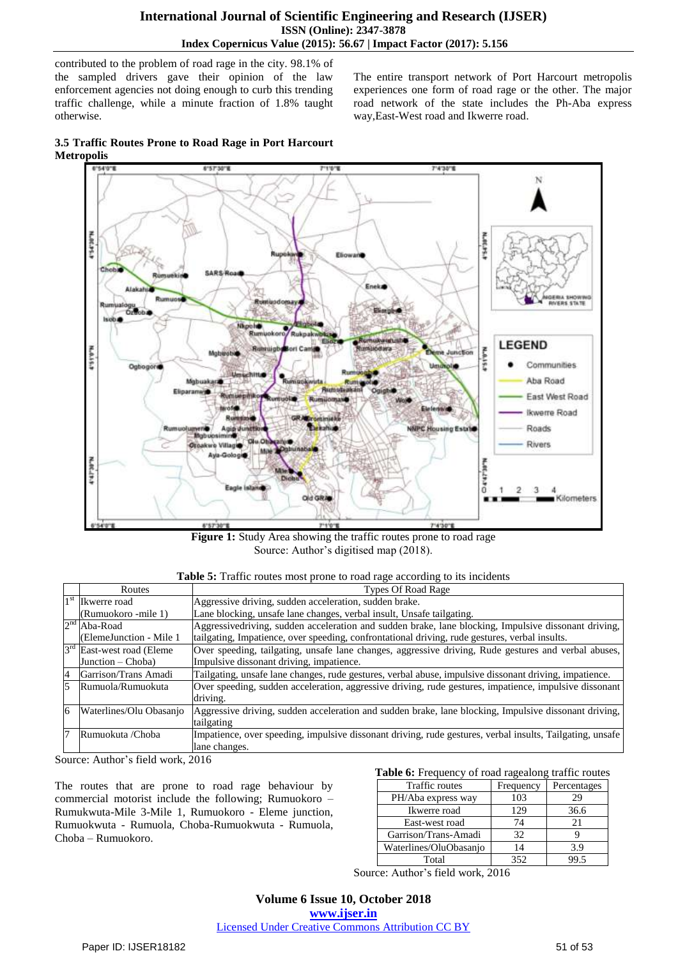contributed to the problem of road rage in the city. 98.1% of the sampled drivers gave their opinion of the law enforcement agencies not doing enough to curb this trending traffic challenge, while a minute fraction of 1.8% taught otherwise.

The entire transport network of Port Harcourt metropolis experiences one form of road rage or the other. The major road network of the state includes the Ph-Aba express way,East-West road and Ikwerre road.

**3.5 Traffic Routes Prone to Road Rage in Port Harcourt Metropolis**



Figure 1: Study Area showing the traffic routes prone to road rage Source: Author's digitised map (2018).

| Table 5: Traffic routes most prone to road rage according to its incidents |
|----------------------------------------------------------------------------|
|----------------------------------------------------------------------------|

|    | Routes                       | <b>Types Of Road Rage</b>                                                                                 |
|----|------------------------------|-----------------------------------------------------------------------------------------------------------|
|    | 1 <sup>st</sup> Ikwerre road | Aggressive driving, sudden acceleration, sudden brake.                                                    |
|    | (Rumuokoro -mile 1)          | Lane blocking, unsafe lane changes, verbal insult, Unsafe tailgating.                                     |
|    | $2nd$ Aba-Road               | Aggressivedriving, sudden acceleration and sudden brake, lane blocking, Impulsive dissonant driving,      |
|    | (ElemeJunction - Mile 1)     | tailgating, Impatience, over speeding, confrontational driving, rude gestures, verbal insults.            |
|    | $3rd$ East-west road (Eleme  | Over speeding, tailgating, unsafe lane changes, aggressive driving, Rude gestures and verbal abuses,      |
|    | Junction $-$ Choba)          | Impulsive dissonant driving, impatience.                                                                  |
| 4  | Garrison/Trans Amadi         | Tailgating, unsafe lane changes, rude gestures, verbal abuse, impulsive dissonant driving, impatience.    |
|    | Rumuola/Rumuokuta            | Over speeding, sudden acceleration, aggressive driving, rude gestures, impatience, impulsive dissonant    |
|    |                              | driving.                                                                                                  |
| 6  | Waterlines/Olu Obasanjo      | Aggressive driving, sudden acceleration and sudden brake, lane blocking, Impulsive dissonant driving,     |
|    |                              | tailgating                                                                                                |
| 17 | Rumuokuta /Choba             | Impatience, over speeding, impulsive dissonant driving, rude gestures, verbal insults, Tailgating, unsafe |
|    |                              | lane changes.                                                                                             |

Source: Author's field work, 2016

The routes that are prone to road rage behaviour by commercial motorist include the following; Rumuokoro – Rumukwuta-Mile 3-Mile 1, Rumuokoro - Eleme junction, Rumuokwuta - Rumuola, Choba-Rumuokwuta - Rumuola, Choba – Rumuokoro.

#### **Table 6:** Frequency of road ragealong traffic routes

| Traffic routes         | Frequency | Percentages |
|------------------------|-----------|-------------|
| PH/Aba express way     | 103       | 29          |
| Ikwerre road           | 129       | 36.6        |
| East-west road         | 74        | 21          |
| Garrison/Trans-Amadi   | 32        |             |
| Waterlines/OluObasanjo | 14        | 3.9         |
| Total                  | 352       |             |

Source: Author's field work, 2016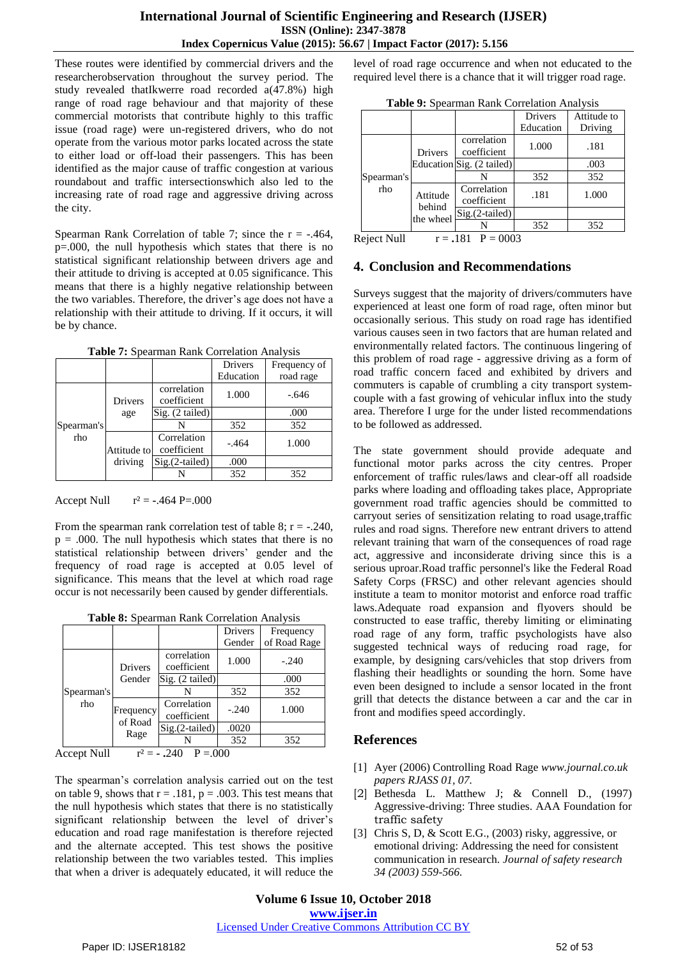These routes were identified by commercial drivers and the researcherobservation throughout the survey period. The study revealed thatIkwerre road recorded a(47.8%) high range of road rage behaviour and that majority of these commercial motorists that contribute highly to this traffic issue (road rage) were un-registered drivers, who do not operate from the various motor parks located across the state to either load or off-load their passengers. This has been identified as the major cause of traffic congestion at various roundabout and traffic intersectionswhich also led to the increasing rate of road rage and aggressive driving across the city.

Spearman Rank Correlation of table 7; since the  $r = -.464$ , p=.000, the null hypothesis which states that there is no statistical significant relationship between drivers age and their attitude to driving is accepted at 0.05 significance. This means that there is a highly negative relationship between the two variables. Therefore, the driver's age does not have a relationship with their attitude to driving. If it occurs, it will be by chance.

**Table 7:** Spearman Rank Correlation Analysis

|                   |             |                            | <b>Drivers</b> | Frequency of |
|-------------------|-------------|----------------------------|----------------|--------------|
|                   |             |                            | Education      | road rage    |
|                   | Drivers     | correlation<br>coefficient | 1.000          | $-.646$      |
| Spearman's<br>rho | age         | Sig. (2 tailed)            |                | .000         |
|                   |             | N                          | 352            | 352          |
|                   | Attitude to | Correlation<br>coefficient | $-.464$        | 1.000        |
|                   | driving     | $Sig.(2-tailed)$           | .000           |              |
|                   |             | N                          | 352            | 352          |

Accept Null  $r^2 = -0.464 \text{ P} = 0.000$ 

From the spearman rank correlation test of table 8;  $r = -0.240$ ,  $p = .000$ . The null hypothesis which states that there is no statistical relationship between drivers' gender and the frequency of road rage is accepted at 0.05 level of significance. This means that the level at which road rage occur is not necessarily been caused by gender differentials.

|  | Table 8: Spearman Rank Correlation Analysis |  |
|--|---------------------------------------------|--|
|--|---------------------------------------------|--|

|                               |                      |                            | Drivers  | Frequency    |
|-------------------------------|----------------------|----------------------------|----------|--------------|
|                               |                      |                            | Gender   | of Road Rage |
|                               | <b>Drivers</b>       | correlation<br>coefficient | 1.000    | $-.240$      |
|                               | Gender               | $Sig.$ (2 tailed)          |          | .000         |
| Spearman's                    |                      | N                          | 352      | 352          |
| rho                           | Frequency<br>of Road | Correlation<br>coefficient | $-.240$  | 1.000        |
|                               |                      | Sig.(2-tailed)             | .0020    |              |
|                               | Rage                 |                            | 352      | 352          |
| $\lambda$ $\lambda$ $\tau$ 11 | $\rightarrow$        | T.<br>$\sim$ 10            | $\Omega$ |              |

Accept Null  $r^2 = -0.240$  P = 0.000

The spearman's correlation analysis carried out on the test on table 9, shows that  $r = .181$ ,  $p = .003$ . This test means that the null hypothesis which states that there is no statistically significant relationship between the level of driver's education and road rage manifestation is therefore rejected and the alternate accepted. This test shows the positive relationship between the two variables tested. This implies that when a driver is adequately educated, it will reduce the level of road rage occurrence and when not educated to the required level there is a chance that it will trigger road rage.

|  |  |  | Table 9: Spearman Rank Correlation Analysis |  |
|--|--|--|---------------------------------------------|--|
|--|--|--|---------------------------------------------|--|

|                   |                                 |                            | <b>Drivers</b> | Attitude to |
|-------------------|---------------------------------|----------------------------|----------------|-------------|
|                   |                                 |                            | Education      | Driving     |
| Spearman's<br>rho | <b>Drivers</b>                  | correlation<br>coefficient | 1.000          | .181        |
|                   |                                 | Education Sig. (2 tailed)  |                | .003        |
|                   |                                 |                            | 352            | 352         |
|                   | Attitude<br>behind<br>the wheel | Correlation<br>coefficient | .181           | 1.000       |
|                   |                                 | Sig.(2-tailed)             |                |             |
|                   |                                 |                            | 352            | 352         |
| 11. - 12 متركب 1  | $\sim$                          | 101<br>റററ<br>n            |                |             |

Reject Null  $r = .181$  P = 0003

# **4. Conclusion and Recommendations**

Surveys suggest that the majority of drivers/commuters have experienced at least one form of road rage, often minor but occasionally serious. This study on road rage has identified various causes seen in two factors that are human related and environmentally related factors. The continuous lingering of this problem of road rage - aggressive driving as a form of road traffic concern faced and exhibited by drivers and commuters is capable of crumbling a city transport systemcouple with a fast growing of vehicular influx into the study area. Therefore I urge for the under listed recommendations to be followed as addressed.

The state government should provide adequate and functional motor parks across the city centres. Proper enforcement of traffic rules/laws and clear-off all roadside parks where loading and offloading takes place, Appropriate government road traffic agencies should be committed to carryout series of sensitization relating to road usage,traffic rules and road signs. Therefore new entrant drivers to attend relevant training that warn of the consequences of road rage act, aggressive and inconsiderate driving since this is a serious uproar.Road traffic personnel's like the Federal Road Safety Corps (FRSC) and other relevant agencies should institute a team to monitor motorist and enforce road traffic laws.Adequate road expansion and flyovers should be constructed to ease traffic, thereby limiting or eliminating road rage of any form, traffic psychologists have also suggested technical ways of reducing road rage, for example, by designing cars/vehicles that stop drivers from flashing their headlights or sounding the horn. Some have even been designed to include a sensor located in the front grill that detects the distance between a car and the car in front and modifies speed accordingly.

# **References**

- [1] Ayer (2006) Controlling Road Rage *www.journal.co.uk papers RJASS 01, 07.*
- [2] Bethesda L. Matthew J; & Connell D., (1997) Aggressive-driving: Three studies. AAA Foundation for traffic safety
- [3] Chris S, D, & Scott E.G., (2003) risky, aggressive, or emotional driving: Addressing the need for consistent communication in research. *Journal of safety research 34 (2003) 559-566.*